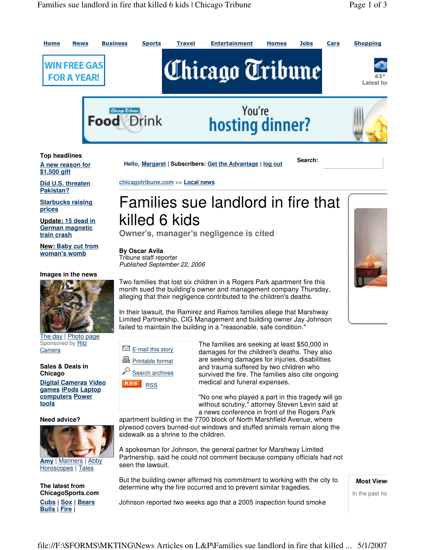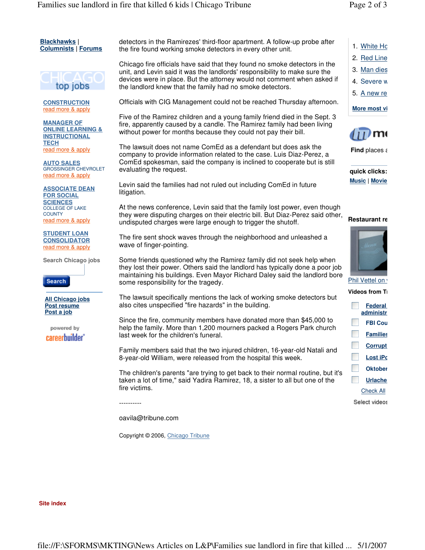

**CONSTRUCTION** read more & apply

**MANAGER OF ONLINE LEARNING & INSTRUCTIONAL TECH** read more & apply

**AUTO SALES** GROSSINGER CHEVROLET read more & apply

**ASSOCIATE DEAN FOR SOCIAL SCIENCES** COLLEGE OF LAKE **COUNTY** read more & apply

**STUDENT LOAN CONSOLIDATOR** read more & apply

**Search Chicago jobs**

**Search** 

**All Chicago jobs Post resume Post a job** 

powered by careerbuilder<sup>®</sup> detectors in the Ramirezes' third-floor apartment. A follow-up probe after the fire found working smoke detectors in every other unit.

Chicago fire officials have said that they found no smoke detectors in the unit, and Levin said it was the landlords' responsibility to make sure the devices were in place. But the attorney would not comment when asked if the landlord knew that the family had no smoke detectors.

Officials with CIG Management could not be reached Thursday afternoon.

Five of the Ramirez children and a young family friend died in the Sept. 3 fire, apparently caused by a candle. The Ramirez family had been living without power for months because they could not pay their bill.

The lawsuit does not name ComEd as a defendant but does ask the company to provide information related to the case. Luis Diaz-Perez, a ComEd spokesman, said the company is inclined to cooperate but is still evaluating the request.

Levin said the families had not ruled out including ComEd in future litigation.

At the news conference, Levin said that the family lost power, even though they were disputing charges on their electric bill. But Diaz-Perez said other, undisputed charges were large enough to trigger the shutoff.

The fire sent shock waves through the neighborhood and unleashed a wave of finger-pointing.

Some friends questioned why the Ramirez family did not seek help when they lost their power. Others said the landlord has typically done a poor job maintaining his buildings. Even Mayor Richard Daley said the landlord bore some responsibility for the tragedy.

The lawsuit specifically mentions the lack of working smoke detectors but also cites unspecified "fire hazards" in the building.

Since the fire, community members have donated more than \$45,000 to help the family. More than 1,200 mourners packed a Rogers Park church last week for the children's funeral.

Family members said that the two injured children, 16-year-old Natali and 8-year-old William, were released from the hospital this week.

The children's parents "are trying to get back to their normal routine, but it's taken a lot of time," said Yadira Ramirez, 18, a sister to all but one of the fire victims.

----------

oavila@tribune.com

Copyright © 2006, Chicago Tribune

1. White Ho

- 2. Red Line
- 3. Man dies
- 4. Severe w
- 5. A new re

**More most vi** 



**Find** places a

**quick clicks: Music | Movie** 

## **Restaurant re**



Phil Vettel on v

## **Videos from Ti**

| <b>Federal</b><br>administr |  |
|-----------------------------|--|
| <b>FBI Cou</b>              |  |
| <b>Families</b>             |  |
| <b>Corrupt</b>              |  |
| <b>Lost iPc</b>             |  |
| <b>Oktober</b>              |  |
| <b>Urlache</b>              |  |
| <b>Check All</b>            |  |
| Select videos               |  |

**Site index**